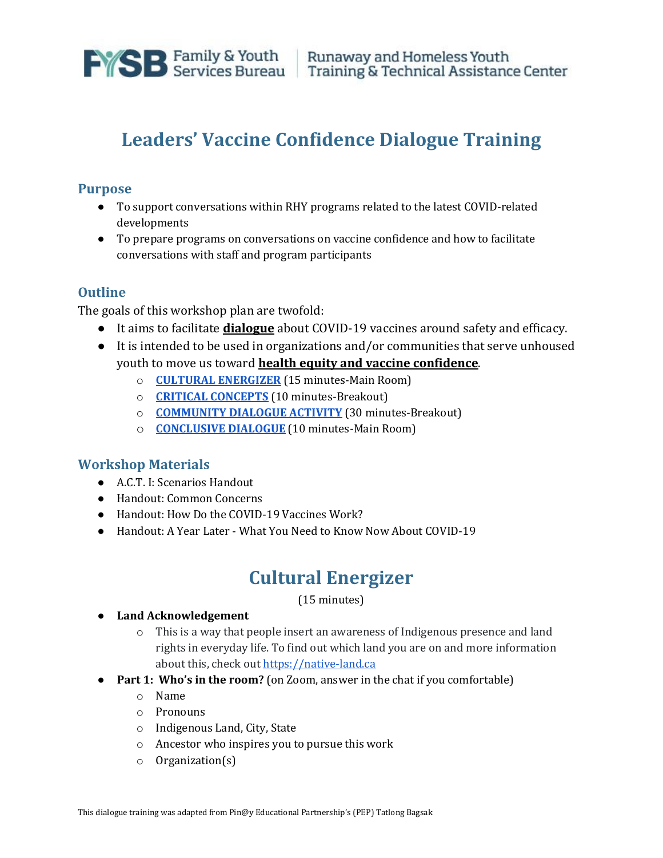

# **Leaders' Vaccine Confidence Dialogue Training**

## **Purpose**

- To support conversations within RHY programs related to the latest COVID-related developments
- To prepare programs on conversations on vaccine confidence and how to facilitate conversations with staff and program participants

## **Outline**

The goals of this workshop plan are twofold:

- It aims to facilitate **dialogue** about COVID-19 vaccines around safety and efficacy.
- It is intended to be used in organizations and/or communities that serve unhoused youth to move us toward **health equity and vaccine confidence**.
	- o **[CULTURAL ENERGIZER](#page-0-0)** (15 minutes-Main Room)
	- o **[CRITICAL CONCEPTS](#page-1-0)** (10 minutes-Breakout)
	- o **[COMMUNITY DIALOGUE ACTIVITY](#page-2-0)** (30 minutes-Breakout)
	- o **[CONCLUSIVE DIALOGUE](#page-10-0)** (10 minutes-Main Room)

### **Workshop Materials**

- A.C.T. I: Scenarios Handout
- Handout: Common Concerns
- Handout: How Do the COVID-19 Vaccines Work?
- <span id="page-0-0"></span>● Handout: A Year Later - What You Need to Know Now About COVID-19

# **Cultural Energizer**

(15 minutes)

#### ● **Land Acknowledgement**

- o This is a way that people insert an awareness of Indigenous presence and land rights in everyday life. To find out which land you are on and more information about this, check out [https://native-land.ca](https://native-land.ca/)
- **Part 1: Who's in the room?** (on Zoom, answer in the chat if you comfortable)
	- o Name
	- o Pronouns
	- o Indigenous Land, City, State
	- o Ancestor who inspires you to pursue this work
	- o Organization(s)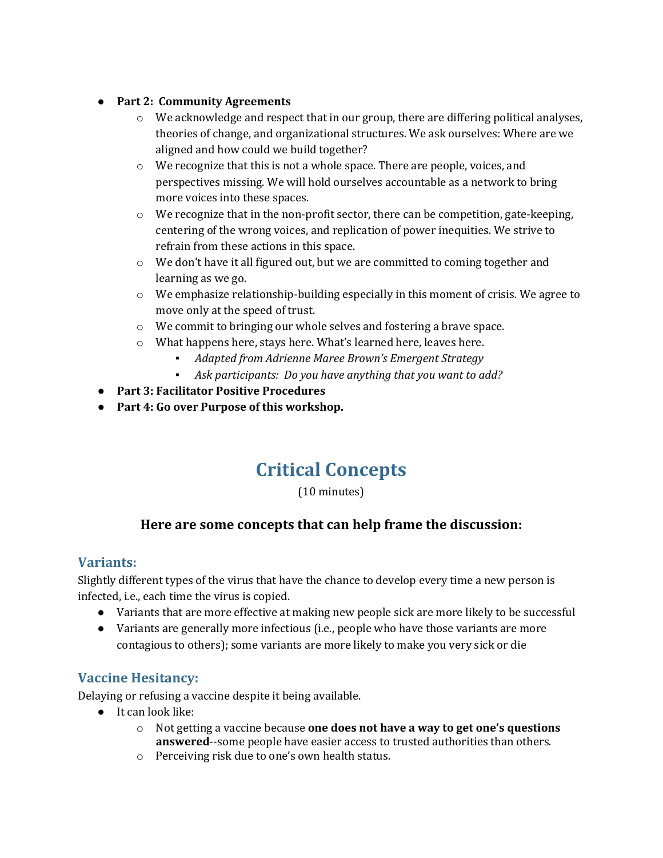### ● **Part 2: Community Agreements**

- o We acknowledge and respect that in our group, there are differing political analyses, theories of change, and organizational structures. We ask ourselves: Where are we aligned and how could we build together?
- o We recognize that this is not a whole space. There are people, voices, and perspectives missing. We will hold ourselves accountable as a network to bring more voices into these spaces.
- $\circ$  We recognize that in the non-profit sector, there can be competition, gate-keeping, centering of the wrong voices, and replication of power inequities. We strive to refrain from these actions in this space.
- $\circ$  We don't have it all figured out, but we are committed to coming together and learning as we go.
- $\circ$  We emphasize relationship-building especially in this moment of crisis. We agree to move only at the speed of trust.
- o We commit to bringing our whole selves and fostering a brave space.
- o What happens here, stays here. What's learned here, leaves here.
	- Adapted from Adrienne Maree Brown's Emergent Strategy
	- *Ask participants: Do you have anything that you want to add?*
- **Part 3: Facilitator Positive Procedures**
- <span id="page-1-0"></span>● **Part 4: Go over Purpose of this workshop.**

# **Critical Concepts**

(10 minutes)

## **Here are some concepts that can help frame the discussion:**

### **Variants:**

Slightly different types of the virus that have the chance to develop every time a new person is infected, i.e., each time the virus is copied.

- Variants that are more effective at making new people sick are more likely to be successful
- Variants are generally more infectious (i.e., people who have those variants are more contagious to others); some variants are more likely to make you very sick or die

## **Vaccine Hesitancy:**

Delaying or refusing a vaccine despite it being available.

- It can look like:
	- o Not getting a vaccine because **one does not have a way to get one's questions answered**--some people have easier access to trusted authorities than others.
	- o Perceiving risk due to one's own health status.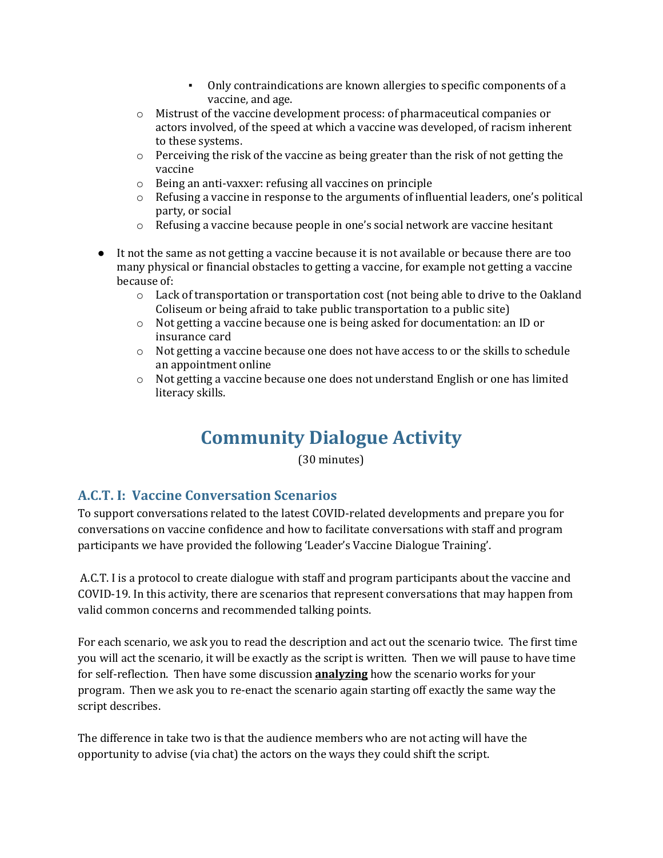- Only contraindications are known allergies to specific components of a vaccine, and age.
- o Mistrust of the vaccine development process: of pharmaceutical companies or actors involved, of the speed at which a vaccine was developed, of racism inherent to these systems.
- o Perceiving the risk of the vaccine as being greater than the risk of not getting the vaccine
- o Being an anti-vaxxer: refusing all vaccines on principle
- $\circ$  Refusing a vaccine in response to the arguments of influential leaders, one's political party, or social
- o Refusing a vaccine because people in one's social network are vaccine hesitant
- It not the same as not getting a vaccine because it is not available or because there are too many physical or financial obstacles to getting a vaccine, for example not getting a vaccine because of:
	- $\circ$  Lack of transportation or transportation cost (not being able to drive to the Oakland Coliseum or being afraid to take public transportation to a public site)
	- o Not getting a vaccine because one is being asked for documentation: an ID or insurance card
	- o Not getting a vaccine because one does not have access to or the skills to schedule an appointment online
	- o Not getting a vaccine because one does not understand English or one has limited literacy skills.

# **Community Dialogue Activity**

(30 minutes)

## <span id="page-2-0"></span>**A.C.T. I: Vaccine Conversation Scenarios**

To support conversations related to the latest COVID-related developments and prepare you for conversations on vaccine confidence and how to facilitate conversations with staff and program participants we have provided the following 'Leader's Vaccine Dialogue Training'.

A.C.T. I is a protocol to create dialogue with staff and program participants about the vaccine and COVID-19. In this activity, there are scenarios that represent conversations that may happen from valid common concerns and recommended talking points.

For each scenario, we ask you to read the description and act out the scenario twice. The first time you will act the scenario, it will be exactly as the script is written. Then we will pause to have time for self-reflection. Then have some discussion **analyzing** how the scenario works for your program. Then we ask you to re-enact the scenario again starting off exactly the same way the script describes.

The difference in take two is that the audience members who are not acting will have the opportunity to advise (via chat) the actors on the ways they could shift the script.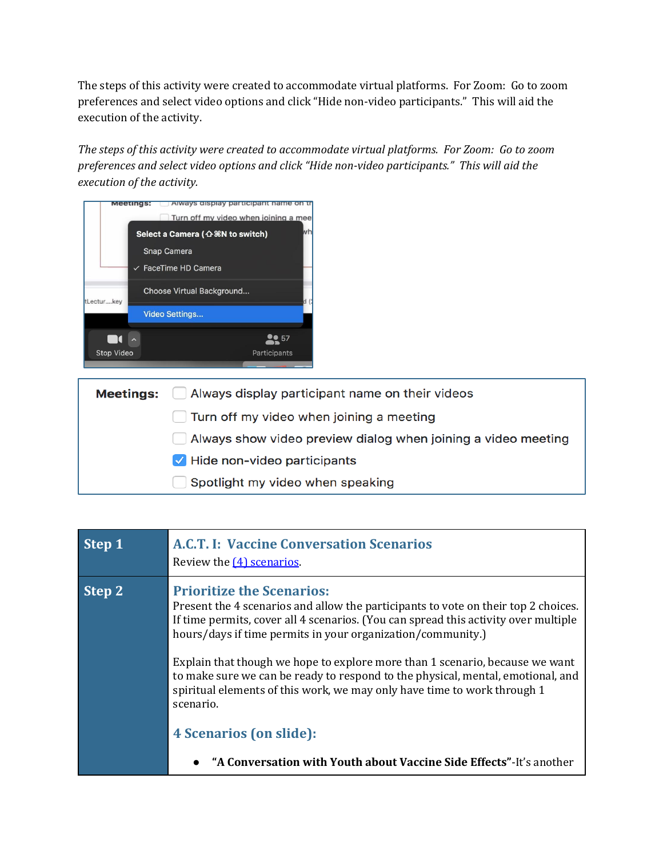The steps of this activity were created to accommodate virtual platforms. For Zoom: Go to zoom preferences and select video options and click "Hide non-video participants." This will aid the execution of the activity.

*The steps of this activity were created to accommodate virtual platforms. For Zoom: Go to zoom preferences and select video options and click "Hide non-video participants." This will aid the execution of the activity.*

| <b>Meetir</b><br>Always display participant |                                                  |  |
|---------------------------------------------|--------------------------------------------------|--|
|                                             | Turn off my video when joining a meet            |  |
|                                             | Select a Camera ( $\triangle$ $\Re$ N to switch) |  |
|                                             | <b>Snap Camera</b>                               |  |
|                                             | $\vee$ FaceTime HD Camera                        |  |
| tLecturkey                                  | Choose Virtual Background                        |  |
|                                             | <b>Video Settings</b>                            |  |
|                                             |                                                  |  |
| Stop Video                                  | Participants                                     |  |
|                                             |                                                  |  |

| <b>Meetings:</b> Always display participant name on their videos |
|------------------------------------------------------------------|
| $\Box$ Turn off my video when joining a meeting                  |
| Always show video preview dialog when joining a video meeting    |
| $\vee$ Hide non-video participants                               |
| Spotlight my video when speaking                                 |

| Step 1 | A.C.T. I: Vaccine Conversation Scenarios<br>Review the $(4)$ scenarios.                                                                                                                                                                                                                                                                                                                                                                                                                                                                  |
|--------|------------------------------------------------------------------------------------------------------------------------------------------------------------------------------------------------------------------------------------------------------------------------------------------------------------------------------------------------------------------------------------------------------------------------------------------------------------------------------------------------------------------------------------------|
| Step 2 | <b>Prioritize the Scenarios:</b><br>Present the 4 scenarios and allow the participants to vote on their top 2 choices.<br>If time permits, cover all 4 scenarios. (You can spread this activity over multiple<br>hours/days if time permits in your organization/community.)<br>Explain that though we hope to explore more than 1 scenario, because we want<br>to make sure we can be ready to respond to the physical, mental, emotional, and<br>spiritual elements of this work, we may only have time to work through 1<br>scenario. |
|        | <b>4 Scenarios (on slide):</b>                                                                                                                                                                                                                                                                                                                                                                                                                                                                                                           |
|        | • "A Conversation with Youth about Vaccine Side Effects"-It's another                                                                                                                                                                                                                                                                                                                                                                                                                                                                    |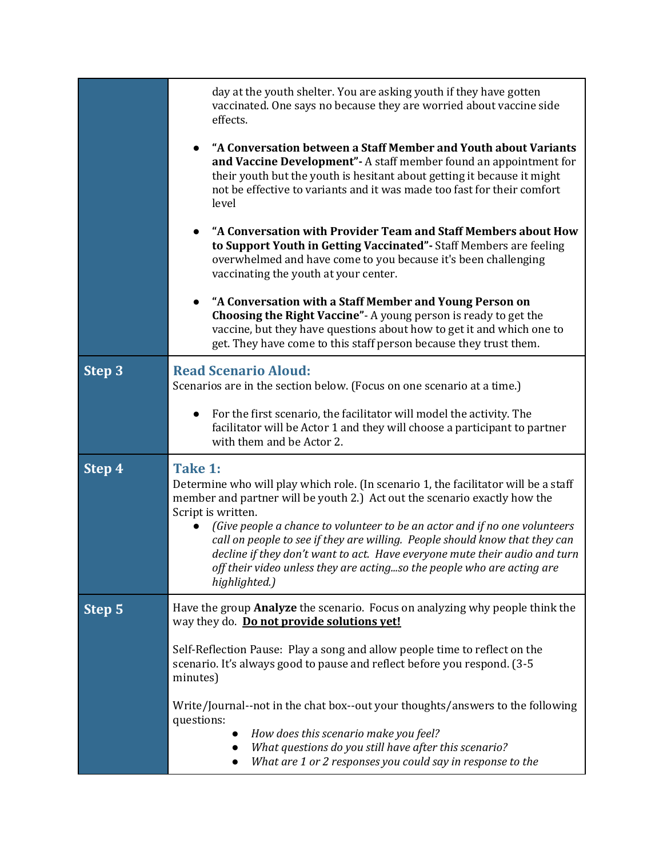|        | day at the youth shelter. You are asking youth if they have gotten<br>vaccinated. One says no because they are worried about vaccine side<br>effects.                                                                                                                                                                                                                                                                                                                                                                                   |
|--------|-----------------------------------------------------------------------------------------------------------------------------------------------------------------------------------------------------------------------------------------------------------------------------------------------------------------------------------------------------------------------------------------------------------------------------------------------------------------------------------------------------------------------------------------|
|        | "A Conversation between a Staff Member and Youth about Variants<br>and Vaccine Development" - A staff member found an appointment for<br>their youth but the youth is hesitant about getting it because it might<br>not be effective to variants and it was made too fast for their comfort<br>level                                                                                                                                                                                                                                    |
|        | "A Conversation with Provider Team and Staff Members about How<br>to Support Youth in Getting Vaccinated" - Staff Members are feeling<br>overwhelmed and have come to you because it's been challenging<br>vaccinating the youth at your center.                                                                                                                                                                                                                                                                                        |
|        | "A Conversation with a Staff Member and Young Person on<br>Choosing the Right Vaccine" - A young person is ready to get the<br>vaccine, but they have questions about how to get it and which one to<br>get. They have come to this staff person because they trust them.                                                                                                                                                                                                                                                               |
| Step 3 | <b>Read Scenario Aloud:</b><br>Scenarios are in the section below. (Focus on one scenario at a time.)                                                                                                                                                                                                                                                                                                                                                                                                                                   |
|        | For the first scenario, the facilitator will model the activity. The<br>$\bullet$<br>facilitator will be Actor 1 and they will choose a participant to partner<br>with them and be Actor 2.                                                                                                                                                                                                                                                                                                                                             |
| Step 4 | Take 1:<br>Determine who will play which role. (In scenario 1, the facilitator will be a staff<br>member and partner will be youth 2.) Act out the scenario exactly how the<br>Script is written.<br>(Give people a chance to volunteer to be an actor and if no one volunteers<br>call on people to see if they are willing. People should know that they can<br>decline if they don't want to act. Have everyone mute their audio and turn<br>off their video unless they are actingso the people who are acting are<br>highlighted.) |
| Step 5 | Have the group <b>Analyze</b> the scenario. Focus on analyzing why people think the<br>way they do. Do not provide solutions vet!                                                                                                                                                                                                                                                                                                                                                                                                       |
|        | Self-Reflection Pause: Play a song and allow people time to reflect on the<br>scenario. It's always good to pause and reflect before you respond. (3-5<br>minutes)                                                                                                                                                                                                                                                                                                                                                                      |
|        | Write/Journal--not in the chat box--out your thoughts/answers to the following<br>questions:<br>How does this scenario make you feel?<br>What questions do you still have after this scenario?<br>What are 1 or 2 responses you could say in response to the                                                                                                                                                                                                                                                                            |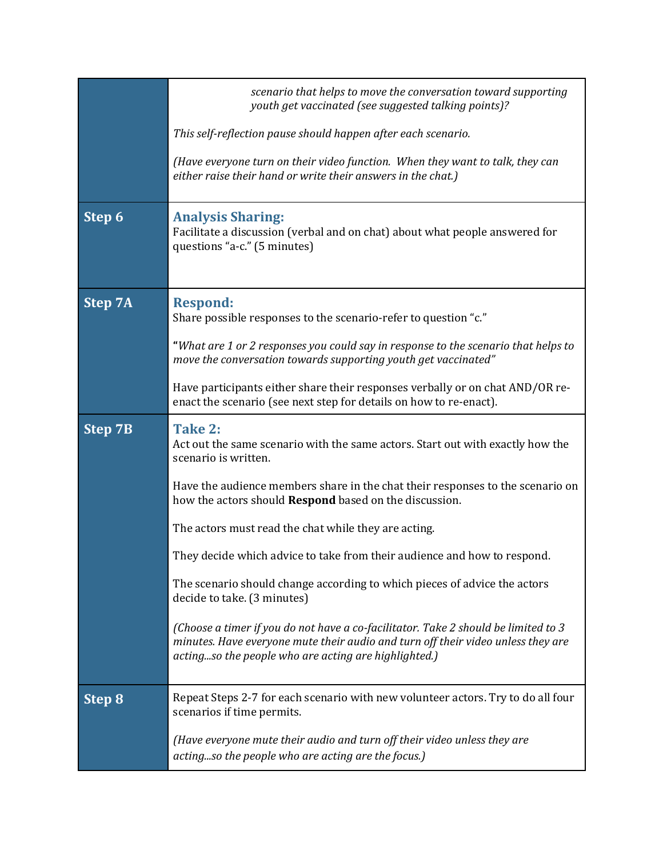|                | scenario that helps to move the conversation toward supporting<br>youth get vaccinated (see suggested talking points)?                                                                                                         |
|----------------|--------------------------------------------------------------------------------------------------------------------------------------------------------------------------------------------------------------------------------|
|                | This self-reflection pause should happen after each scenario.                                                                                                                                                                  |
|                | (Have everyone turn on their video function. When they want to talk, they can<br>either raise their hand or write their answers in the chat.)                                                                                  |
| Step 6         | <b>Analysis Sharing:</b><br>Facilitate a discussion (verbal and on chat) about what people answered for<br>questions "a-c." (5 minutes)                                                                                        |
| <b>Step 7A</b> | <b>Respond:</b><br>Share possible responses to the scenario-refer to question "c."                                                                                                                                             |
|                | "What are 1 or 2 responses you could say in response to the scenario that helps to<br>move the conversation towards supporting youth get vaccinated"                                                                           |
|                | Have participants either share their responses verbally or on chat AND/OR re-<br>enact the scenario (see next step for details on how to re-enact).                                                                            |
| <b>Step 7B</b> | Take 2:<br>Act out the same scenario with the same actors. Start out with exactly how the<br>scenario is written.                                                                                                              |
|                | Have the audience members share in the chat their responses to the scenario on<br>how the actors should Respond based on the discussion.                                                                                       |
|                | The actors must read the chat while they are acting.                                                                                                                                                                           |
|                | They decide which advice to take from their audience and how to respond.                                                                                                                                                       |
|                | The scenario should change according to which pieces of advice the actors<br>decide to take. (3 minutes)                                                                                                                       |
|                | (Choose a timer if you do not have a co-facilitator. Take 2 should be limited to 3<br>minutes. Have everyone mute their audio and turn off their video unless they are<br>actingso the people who are acting are highlighted.) |
| <b>Step 8</b>  | Repeat Steps 2-7 for each scenario with new volunteer actors. Try to do all four<br>scenarios if time permits.                                                                                                                 |
|                | (Have everyone mute their audio and turn off their video unless they are<br>actingso the people who are acting are the focus.)                                                                                                 |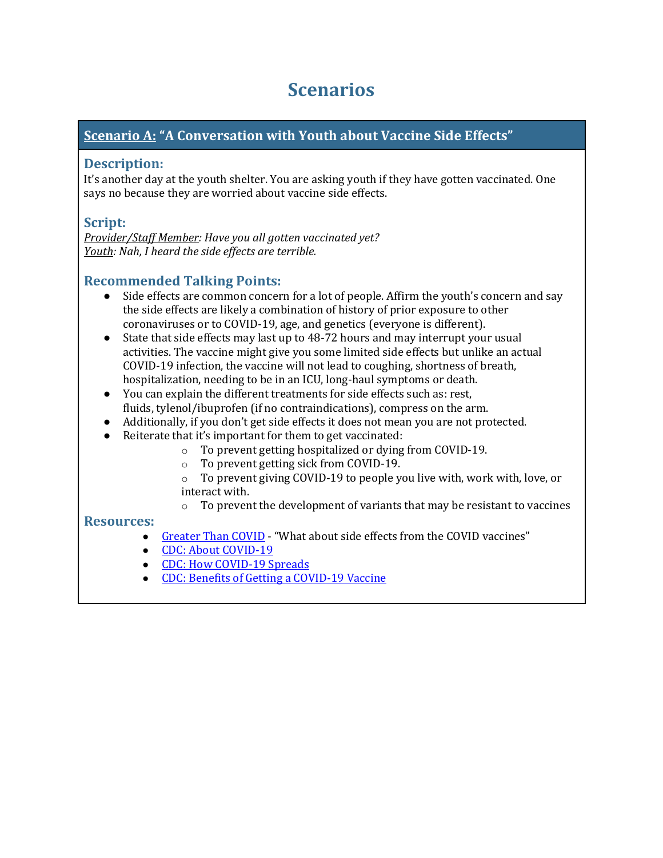# **Scenarios**

## <span id="page-6-0"></span>**Scenario A: "A Conversation with Youth about Vaccine Side Effects"**

### **Description:**

It's another day at the youth shelter. You are asking youth if they have gotten vaccinated. One says no because they are worried about vaccine side effects.

## **Script:**

*Provider/Staff Member: Have you all gotten vaccinated yet? Youth: Nah, I heard the side effects are terrible.*

## **Recommended Talking Points:**

- Side effects are common concern for a lot of people. Affirm the youth's concern and say the side effects are likely a combination of history of prior exposure to other coronaviruses or to COVID-19, age, and genetics (everyone is different).
- State that side effects may last up to 48-72 hours and may interrupt your usual activities. The vaccine might give you some limited side effects but unlike an actual COVID-19 infection, the vaccine will not lead to coughing, shortness of breath, hospitalization, needing to be in an ICU, long-haul symptoms or death.
- You can explain the different treatments for side effects such as: rest, fluids, tylenol/ibuprofen (if no contraindications), compress on the arm.
- Additionally, if you don't get side effects it does not mean you are not protected.
- Reiterate that it's important for them to get vaccinated:
	- o To prevent getting hospitalized or dying from COVID-19.
	- o To prevent getting sick from COVID-19.
	- o To prevent giving COVID-19 to people you live with, work with, love, or interact with.<br> $\circ$  To preven
	- To prevent the development of variants that may be resistant to vaccines

### **Resources:**

- [Greater Than COVID](https://www.greaterthancovid.org/theconversation/) "What about side effects from the COVID vaccines"
- [CDC: About COVID-19](https://www.cdc.gov/coronavirus/2019-ncov/your-health/about-covid-19.html)
- [CDC: How COVID-19 Spreads](https://www.cdc.gov/coronavirus/2019-ncov/transmission/index.html)
- [CDC: Benefits of Getting a COVID-19 Vaccine](https://www.cdc.gov/coronavirus/2019-ncov/vaccines/vaccine-benefits.html)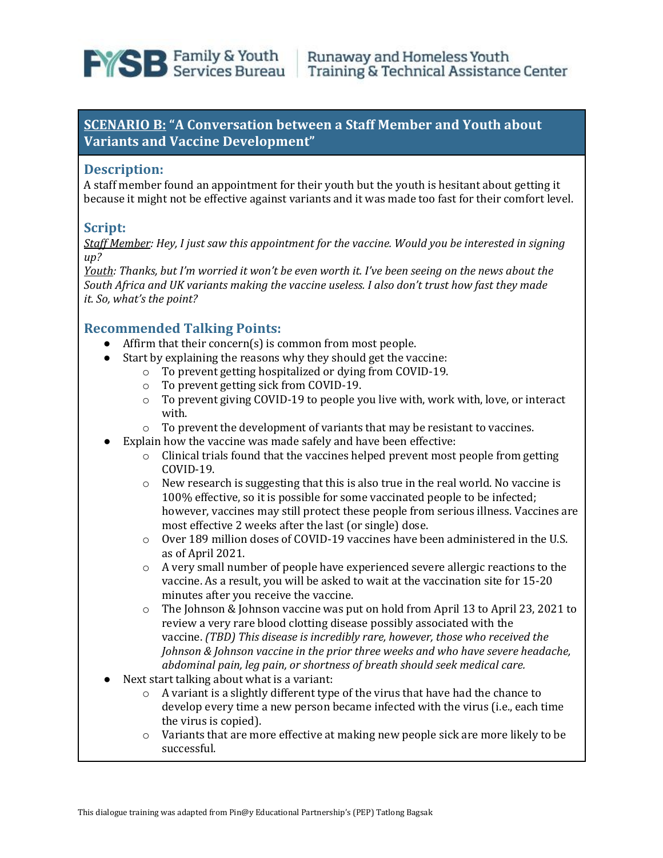

## **SCENARIO B: "A Conversation between a Staff Member and Youth about Variants and Vaccine Development"**

#### **Description:**

A staff member found an appointment for their youth but the youth is hesitant about getting it because it might not be effective against variants and it was made too fast for their comfort level.

## **Script:**

*Staff Member: Hey, I just saw this appointment for the vaccine. Would you be interested in signing up?*

*Youth: Thanks, but I'm worried it won't be even worth it. I've been seeing on the news about the South Africa and UK variants making the vaccine useless. I also don't trust how fast they made it. So, what's the point?*

### **Recommended Talking Points:**

- Affirm that their concern(s) is common from most people.
- Start by explaining the reasons why they should get the vaccine:
	- o To prevent getting hospitalized or dying from COVID-19.
	- o To prevent getting sick from COVID-19.
	- o To prevent giving COVID-19 to people you live with, work with, love, or interact with.
	- o To prevent the development of variants that may be resistant to vaccines.
	- Explain how the vaccine was made safely and have been effective:
		- o Clinical trials found that the vaccines helped prevent most people from getting COVID-19.
		- o New research is suggesting that this is also true in the real world. No vaccine is 100% effective, so it is possible for some vaccinated people to be infected; however, vaccines may still protect these people from serious illness. Vaccines are most effective 2 weeks after the last (or single) dose.
		- $\circ$  Over 189 million doses of COVID-19 vaccines have been administered in the U.S. as of April 2021.
		- $\circ$  A very small number of people have experienced severe allergic reactions to the vaccine. As a result, you will be asked to wait at the vaccination site for 15-20 minutes after you receive the vaccine.
		- o The Johnson & Johnson vaccine was put on hold from April 13 to April 23, 2021 to review a very rare blood clotting disease possibly associated with the vaccine. *(TBD) This disease is incredibly rare, however, those who received the Johnson & Johnson vaccine in the prior three weeks and who have severe headache, abdominal pain, leg pain, or shortness of breath should seek medical care.*
- Next start talking about what is a variant:
	- o A variant is a slightly different type of the virus that have had the chance to develop every time a new person became infected with the virus (i.e., each time the virus is copied).
	- $\circ$  Variants that are more effective at making new people sick are more likely to be successful.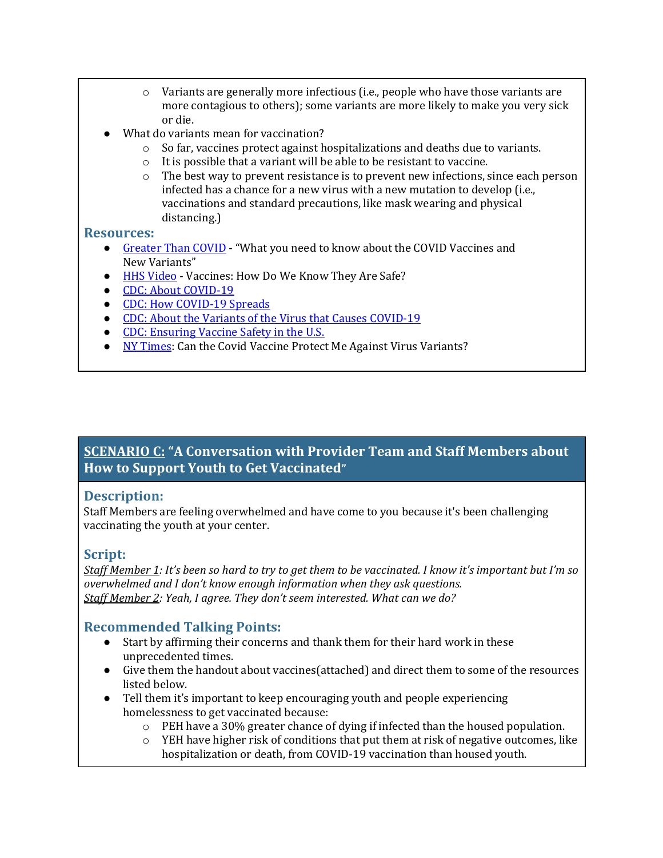- $\circ$  Variants are generally more infectious (i.e., people who have those variants are more contagious to others); some variants are more likely to make you very sick or die.
- What do variants mean for vaccination?
	- $\circ$  So far, vaccines protect against hospitalizations and deaths due to variants.
	- o It is possible that a variant will be able to be resistant to vaccine.
	- $\circ$  The best way to prevent resistance is to prevent new infections, since each person infected has a chance for a new virus with a new mutation to develop (i.e., vaccinations and standard precautions, like mask wearing and physical distancing.)

#### **Resources:**

- [Greater Than COVID](https://www.greaterthancovid.org/theconversation/) "What you need to know about the COVID Vaccines and New Variants"
- [HHS Video](https://www.youtube.com/watch?v=7bBmQaX2k4w) Vaccines: How Do We Know They Are Safe?
- [CDC: About COVID-19](https://www.cdc.gov/coronavirus/2019-ncov/your-health/about-covid-19.html)
- [CDC: How COVID-19 Spreads](https://www.cdc.gov/coronavirus/2019-ncov/transmission/index.html)
- [CDC: About the Variants of the Virus that Causes COVID-19](https://www.cdc.gov/coronavirus/2019-ncov/transmission/variant.html)
- [CDC: Ensuring Vaccine Safety in the U.S.](https://www.cdc.gov/coronavirus/2019-ncov/vaccines/safety.html)
- [NY Times:](https://www.nytimes.com/2021/04/15/well/live/covid-variants-vaccine.html?name=styln-coronavirus-live®ion=TOP_BANNER&block=storyline_menu_recirc&action=click&pgtype=LegacyCollection&variant=1_Show&is_new=false) Can the Covid Vaccine Protect Me Against Virus Variants?

## **SCENARIO C: "A Conversation with Provider Team and Staff Members about How to Support Youth to Get Vaccinated"**

### **Description:**

Staff Members are feeling overwhelmed and have come to you because it's been challenging vaccinating the youth at your center.

#### **Script:**

*Staff Member 1: It's been so hard to try to get them to be vaccinated. I know it's important but I'm so overwhelmed and I don't know enough information when they ask questions. Staff Member 2: Yeah, I agree. They don't seem interested. What can we do?*

### **Recommended Talking Points:**

- Start by affirming their concerns and thank them for their hard work in these unprecedented times.
- Give them the handout about vaccines(attached) and direct them to some of the resources listed below.
- Tell them it's important to keep encouraging youth and people experiencing homelessness to get vaccinated because:
	- $\circ$  PEH have a 30% greater chance of dying if infected than the housed population.
	- $\circ$  YEH have higher risk of conditions that put them at risk of negative outcomes, like hospitalization or death, from COVID-19 vaccination than housed youth.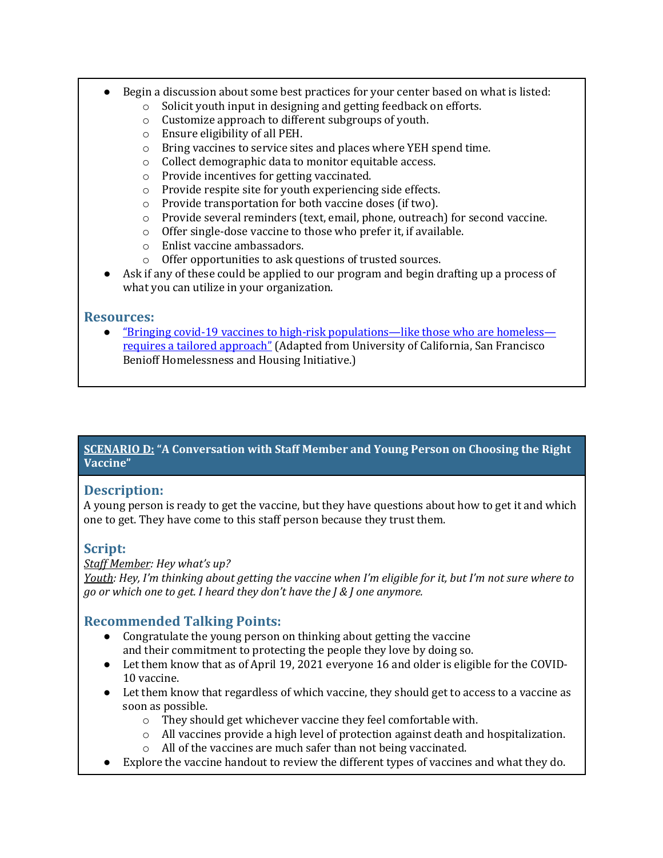- Begin a discussion about some best practices for your center based on what is listed:<br>  $\circ$  Solicit vouth input in designing and getting feedback on efforts.
	- Solicit youth input in designing and getting feedback on efforts.
	- o Customize approach to different subgroups of youth.
	- o Ensure eligibility of all PEH.
	- o Bring vaccines to service sites and places where YEH spend time.
	- o Collect demographic data to monitor equitable access.
	- o Provide incentives for getting vaccinated.
	- o Provide respite site for youth experiencing side effects.
	- o Provide transportation for both vaccine doses (if two).
	- o Provide several reminders (text, email, phone, outreach) for second vaccine.
	- o Offer single-dose vaccine to those who prefer it, if available.
	- o Enlist vaccine ambassadors.
	- o Offer opportunities to ask questions of trusted sources.
- Ask if any of these could be applied to our program and begin drafting up a process of what you can utilize in your organization.

## **Resources:**

● ["Bringing covid-19 vaccines to high-risk populations—like those who are homeless](https://blogs.bmj.com/bmj/2021/03/22/bringing-covid-19-vaccines-to-high-risk-populations-like-those-who-are-homeless-requires-a-tailored-approach/) [requires a tailored approach"](https://blogs.bmj.com/bmj/2021/03/22/bringing-covid-19-vaccines-to-high-risk-populations-like-those-who-are-homeless-requires-a-tailored-approach/) (Adapted from University of California, San Francisco Benioff Homelessness and Housing Initiative.)

## **SCENARIO D: "A Conversation with Staff Member and Young Person on Choosing the Right Vaccine"**

## **Description:**

A young person is ready to get the vaccine, but they have questions about how to get it and which one to get. They have come to this staff person because they trust them.

# **Script:**

### *Staff Member: Hey what's up?*

*Youth: Hey, I'm thinking about getting the vaccine when I'm eligible for it, but I'm not sure where to go or which one to get. I heard they don't have the J & J one anymore.*

# **Recommended Talking Points:**

- Congratulate the young person on thinking about getting the vaccine and their commitment to protecting the people they love by doing so.
- Let them know that as of April 19, 2021 everyone 16 and older is eligible for the COVID-10 vaccine.
- Let them know that regardless of which vaccine, they should get to access to a vaccine as soon as possible.
	- o They should get whichever vaccine they feel comfortable with.
	- $\circ$  All vaccines provide a high level of protection against death and hospitalization.
	- o All of the vaccines are much safer than not being vaccinated.
- Explore the vaccine handout to review the different types of vaccines and what they do.